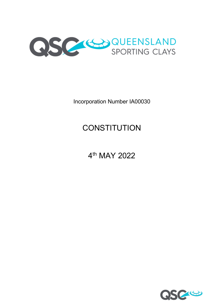

Incorporation Number IA00030

# **CONSTITUTION**

# 4<sup>th</sup> MAY 2022

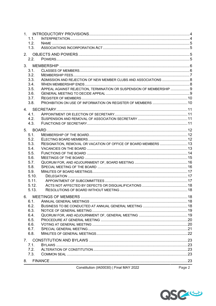| 1.1.  |                                                                      |        |
|-------|----------------------------------------------------------------------|--------|
| 1.2.  |                                                                      |        |
| 1.3.  |                                                                      |        |
|       |                                                                      |        |
|       |                                                                      |        |
| 2.2.  |                                                                      |        |
|       |                                                                      |        |
| 3.1.  |                                                                      |        |
| 3.2.  |                                                                      |        |
| 3.3.  | ADMISSION AND REJECTION OF NEW MEMBER CLUBS AND ASSOCIATIONS  8      |        |
| 3.4.  |                                                                      |        |
| 3.5.  | APPEAL AGAINST REJECTION, TERMINATION OR SUSPENSION OF MEMBERSHIP  9 |        |
| 3.6.  |                                                                      |        |
| 3.7.  |                                                                      |        |
| 3.8.  | PROHIBITION ON USE OF INFORMATION ON REGISTER OF MEMBERS  10         |        |
|       |                                                                      |        |
| 4.1.  |                                                                      |        |
| 4.2.  |                                                                      |        |
| 4.3.  |                                                                      |        |
|       |                                                                      |        |
|       |                                                                      |        |
| 5.1.  |                                                                      |        |
| 5.2.  |                                                                      |        |
| 5.3.  | RESIGNATION, REMOVAL OR VACATION OF OFFICE OF BOARD MEMBERS  13      |        |
| 5.4.  |                                                                      |        |
| 5.5.  |                                                                      |        |
| 5.6.  |                                                                      |        |
| 5.7.  |                                                                      |        |
| 5.8.  |                                                                      |        |
| 5.9.  |                                                                      |        |
| 5.10. |                                                                      |        |
| 5.11. |                                                                      |        |
| 5.12. |                                                                      |        |
| 5.13. |                                                                      |        |
| 6.    |                                                                      |        |
| 6.1.  |                                                                      |        |
| 6.2.  |                                                                      |        |
| 6.3.  |                                                                      |        |
| 6.4.  |                                                                      |        |
| 6.5.  |                                                                      |        |
| 6.6.  |                                                                      |        |
| 6.7.  |                                                                      |        |
| 6.8.  |                                                                      |        |
|       |                                                                      |        |
| 7.    |                                                                      |        |
| 7.1.  |                                                                      |        |
| 7.2.  |                                                                      |        |
| 7.3.  |                                                                      |        |
| 8.    |                                                                      |        |
|       | Constitution (IA00030)   Final MAY 2022                              | Page 2 |
|       |                                                                      |        |

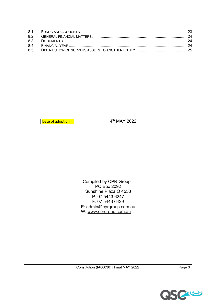| l Date of adoption | $\overline{4^{th}}$ MAY 2022 |  |
|--------------------|------------------------------|--|

Compiled by CPR Group PO Box 2092 Sunshine Plaza Q 4558 P: 07 5443 6247 F: 07 5443 6429 E: admin@cprgroup.com.au W: www.cprgroup.com.au

Constitution (IA00030) | Final MAY 2022 Page 3

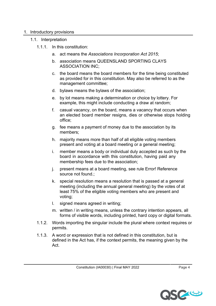#### 1. Introductory provisions

- 1.1. Interpretation
	- 1.1.1. In this constitution:
		- a. act means the *Associations Incorporation Act 2015*;
		- b. association means QUEENSLAND SPORTING CLAYS ASSOCIATION INC;
		- c. the board means the board members for the time being constituted as provided for in this constitution. May also be referred to as the management committee;
		- d. bylaws means the bylaws of the association;
		- e. by lot means making a determination or choice by lottery. For example, this might include conducting a draw at random;
		- f. casual vacancy, on the board, means a vacancy that occurs when an elected board member resigns, dies or otherwise stops holding office;
		- g. fee means a payment of money due to the association by its members;
		- h. majority means more than half of all eligible voting members present and voting at a board meeting or a general meeting;
		- i. member means a body or individual duly accepted as such by the board in accordance with this constitution, having paid any membership fees due to the association;
		- j. present means at a board meeting, see rule Error! Reference source not found.;
		- k. special resolution means a resolution that is passed at a general meeting (including the annual general meeting) by the votes of at least 75% of the eligible voting members who are present and voting;
		- l. signed means agreed in writing;
		- m. written / in writing means, unless the contrary intention appears, all forms of visible words, including printed, hard copy or digital formats.
	- 1.1.2. Words importing the singular include the plural where context requires or permits.
	- 1.1.3. A word or expression that is not defined in this constitution, but is defined in the Act has, if the context permits, the meaning given by the Act.

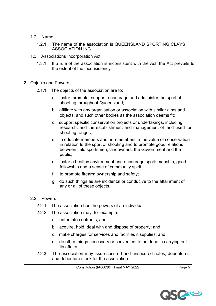- 1.2. Name
	- 1.2.1. The name of the association is QUEENSLAND SPORTING CLAYS ASSOCIATION INC.
- 1.3. Associations Incorporation Act
	- 1.3.1. If a rule of the association is inconsistent with the Act, the Act prevails to the extent of the inconsistency.

### 2. Objects and Powers

- 2.1.1. The objects of the association are to:
	- a. foster, promote, support, encourage and administer the sport of shooting throughout Queensland;
	- b. affiliate with any organisation or association with similar aims and objects, and such other bodies as the association deems fit;
	- c. support specific conservation projects or undertakings, including research, and the establishment and management of land used for shooting ranges;
	- d. to educate members and non-members in the value of conservation in relation to the sport of shooting and to promote good relations between field sportsmen, landowners, the Government and the public;
	- e. foster a healthy environment and encourage sportsmanship, good fellowship and a sense of community spirit;
	- f. to promote firearm ownership and safety;
	- g. do such things as are incidental or conducive to the attainment of any or all of these objects.

## 2.2. Powers

- 2.2.1. The association has the powers of an individual.
- 2.2.2. The association may, for example:
	- a. enter into contracts; and
	- b. acquire, hold, deal with and dispose of property; and
	- c. make charges for services and facilities it supplies; and
	- d. do other things necessary or convenient to be done in carrying out its affairs.
- 2.2.3. The association may issue secured and unsecured notes, debentures and debenture stock for the association.

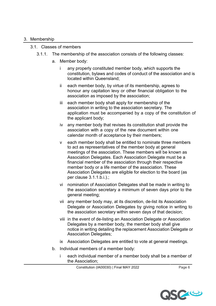#### 3. Membership

## 3.1. Classes of members

- 3.1.1. The membership of the association consists of the following classes:
	- a. Member body:
		- i any properly constituted member body, which supports the constitution, bylaws and codes of conduct of the association and is located within Queensland;
		- ii each member body, by virtue of its membership, agrees to honour any capitation levy or other financial obligation to the association as imposed by the association;
		- iii each member body shall apply for membership of the association in writing to the association secretary. The application must be accompanied by a copy of the constitution of the applicant body;
		- iv any member body that revises its constitution shall provide the association with a copy of the new document within one calendar month of acceptance by their members;
		- v each member body shall be entitled to nominate three members to act as representatives of the member body at general meetings of the association. These members will be known as Association Delegates. Each Association Delegate must be a financial member of the association through their respective member body or a life member of the association. These Association Delegates are eligible for election to the board (as per clause 3.1.1.b.i.).;
		- vi nomination of Association Delegates shall be made in writing to the association secretary a minimum of seven days prior to the general meeting;
		- vii any member body may, at its discretion, de-list its Association Delegate or Association Delegates by giving notice in writing to the association secretary within seven days of that decision;
		- viii in the event of de-listing an Association Delegate or Association Delegates by a member body, the member body shall give notice in writing detailing the replacement Association Delegate or Association Delegates;
		- ix Association Delegates are entitled to vote at general meetings.
	- b. Individual members of a member body:
		- i each individual member of a member body shall be a member of the Association;

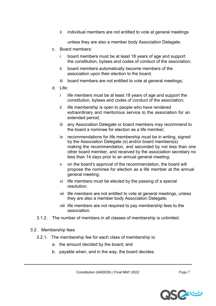ii individual members are not entitled to vote at general meetings

unless they are also a member body Association Delegate;

- c. Board members:
	- i board members must be at least 18 years of age and support the constitution, bylaws and codes of conduct of the association;
	- ii board members automatically become members of the association upon their election to the board;
	- iii board members are not entitled to vote at general meetings;
- d. Life:
	- i life members must be at least 18 years of age and support the constitution, bylaws and codes of conduct of the association;
	- ii life membership is open to people who have rendered extraordinary and meritorious service to the association for an extended period;
	- iii any Association Delegate or board members may recommend to the board a nominee for election as a life member;
	- iv recommendations for life membership must be in writing, signed by the Association Delegate (s) and/or board members(s) making the recommendation, and seconded by not less than one other board member, and received by the association secretary no less than 14 days prior to an annual general meeting;
	- v on the board's approval of the recommendation, the board will propose the nominee for election as a life member at the annual general meeting;
	- vi life members must be elected by the passing of a special resolution;
	- vii life members are not entitled to vote at general meetings, unless they are also a member body Association Delegate;
	- viii life members are not required to pay membership fees to the association.
- 3.1.2. The number of members in all classes of membership is unlimited.
- 3.2. Membership fees
	- 3.2.1. The membership fee for each class of membership is:
		- a. the amount decided by the board; and
		- b. payable when, and in the way, the board decides.

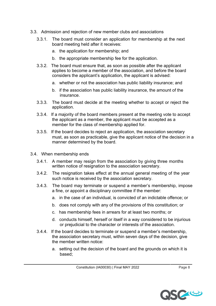- 3.3. Admission and rejection of new member clubs and associations
	- 3.3.1. The board must consider an application for membership at the next board meeting held after it receives:
		- a. the application for membership; and
		- b. the appropriate membership fee for the application.
	- 3.3.2. The board must ensure that, as soon as possible after the applicant applies to become a member of the association, and before the board considers the applicant's application, the applicant is advised:
		- a. whether or not the association has public liability insurance; and
		- b. if the association has public liability insurance, the amount of the insurance.
	- 3.3.3. The board must decide at the meeting whether to accept or reject the application.
	- 3.3.4. If a majority of the board members present at the meeting vote to accept the applicant as a member, the applicant must be accepted as a member for the class of membership applied for.
	- 3.3.5. If the board decides to reject an application, the association secretary must, as soon as practicable, give the applicant notice of the decision in a manner determined by the board.
- 3.4. When membership ends
	- 3.4.1. A member may resign from the association by giving three months written notice of resignation to the association secretary.
	- 3.4.2. The resignation takes effect at the annual general meeting of the year such notice is received by the association secretary.
	- 3.4.3. The board may terminate or suspend a member's membership, impose a fine, or appoint a disciplinary committee if the member:
		- a. in the case of an individual, is convicted of an indictable offence; or
		- b. does not comply with any of the provisions of this constitution; or
		- c. has membership fees in arrears for at least two months; or
		- d. conducts himself, herself or itself in a way considered to be injurious or prejudicial to the character or interests of the association.
	- 3.4.4. If the board decides to terminate or suspend a member's membership, the association secretary must, within seven days of the decision, give the member written notice:
		- a. setting out the decision of the board and the grounds on which it is based;

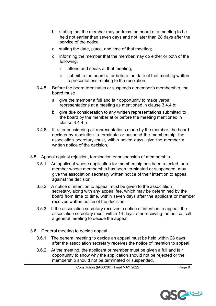- b. stating that the member may address the board at a meeting to be held not earlier than seven days and not later than 28 days after the service of the notice;
- c. stating the date, place, and time of that meeting;
- d. informing the member that the member may do either or both of the following:
	- i attend and speak at that meeting;
	- ii submit to the board at or before the date of that meeting written representations relating to the resolution.
- 3.4.5. Before the board terminates or suspends a member's membership, the board must:
	- a. give the member a full and fair opportunity to make verbal representations at a meeting as mentioned in clause 3.4.4.b;
	- b. give due consideration to any written representations submitted to the board by the member at or before the meeting mentioned in clause 3.4.4.b.
- 3.4.6. If, after considering all representations made by the member, the board decides by resolution to terminate or suspend the membership, the association secretary must, within seven days, give the member a written notice of the decision.
- 3.5. Appeal against rejection, termination or suspension of membership
	- 3.5.1. An applicant whose application for membership has been rejected, or a member whose membership has been terminated or suspended, may give the association secretary written notice of their intention to appeal against the decision.
	- 3.5.2. A notice of intention to appeal must be given to the association secretary, along with any appeal fee, which may be determined by the board from time to time, within seven days after the applicant or member receives written notice of the decision.
	- 3.5.3. If the association secretary receives a notice of intention to appeal, the association secretary must, within 14 days after receiving the notice, call a general meeting to decide the appeal.
- 3.6. General meeting to decide appeal
	- 3.6.1. The general meeting to decide an appeal must be held within 28 days after the association secretary receives the notice of intention to appeal.
	- 3.6.2. At the meeting, the applicant or member must be given a full and fair opportunity to show why the application should not be rejected or the membership should not be terminated or suspended.

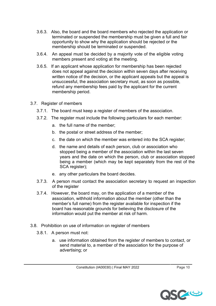- 3.6.3. Also, the board and the board members who rejected the application or terminated or suspended the membership must be given a full and fair opportunity to show why the application should be rejected or the membership should be terminated or suspended.
- 3.6.4. An appeal must be decided by a majority vote of the eligible voting members present and voting at the meeting.
- 3.6.5. If an applicant whose application for membership has been rejected does not appeal against the decision within seven days after receiving written notice of the decision, or the applicant appeals but the appeal is unsuccessful, the association secretary must, as soon as possible, refund any membership fees paid by the applicant for the current membership period.
- 3.7. Register of members
	- 3.7.1. The board must keep a register of members of the association.
	- 3.7.2. The register must include the following particulars for each member:
		- a. the full name of the member;
		- b. the postal or street address of the member;
		- c. the date on which the member was entered into the SCA register;
		- d. the name and details of each person, club or association who stopped being a member of the association within the last seven years and the date on which the person, club or association stopped being a member (which may be kept separately from the rest of the SCA register);
		- e. any other particulars the board decides.
	- 3.7.3. A person must contact the association secretary to request an inspection of the register
	- 3.7.4. However, the board may, on the application of a member of the association, withhold information about the member (other than the member's full name) from the register available for inspection if the board has reasonable grounds for believing the disclosure of the information would put the member at risk of harm.
- 3.8. Prohibition on use of information on register of members
	- 3.8.1. A person must not:
		- a. use information obtained from the register of members to contact, or send material to, a member of the association for the purpose of advertising; or

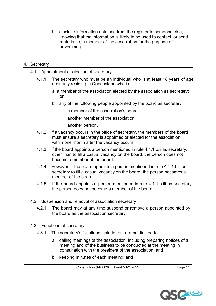b. disclose information obtained from the register to someone else, knowing that the information is likely to be used to contact, or send material to, a member of the association for the purpose of advertising.

### 4. Secretary

- 4.1. Appointment or election of secretary
	- 4.1.1. The secretary who must be an individual who is at least 18 years of age ordinarily residing in Queensland who is:
		- a. a member of the association elected by the association as secretary; or
		- b. any of the following people appointed by the board as secretary:
			- i a member of the association's board;
			- ii another member of the association;
			- iii another person.
	- 4.1.2. If a vacancy occurs in the office of secretary, the members of the board must ensure a secretary is appointed or elected for the association within one month after the vacancy occurs.
	- 4.1.3. If the board appoints a person mentioned in rule 4.1.1.b.ii as secretary, other than to fill a casual vacancy on the board, the person does not become a member of the board.
	- 4.1.4. However, if the board appoints a person mentioned in rule 4.1.1.b.ii as secretary to fill a casual vacancy on the board, the person becomes a member of the board.
	- 4.1.5. If the board appoints a person mentioned in rule 4.1.1.b.iii as secretary, the person does not become a member of the board.
- 4.2. Suspension and removal of association secretary
	- 4.2.1. The board may at any time suspend or remove a person appointed by the board as the association secretary.
- 4.3. Functions of secretary
	- 4.3.1. The secretary's functions include, but are not limited to:
		- a. calling meetings of the association, including preparing notices of a meeting and of the business to be conducted at the meeting in consultation with the president of the association; and
		- b. keeping minutes of each meeting; and

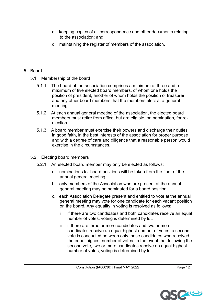- c. keeping copies of all correspondence and other documents relating to the association; and
- d. maintaining the register of members of the association.

### 5. Board

- 5.1. Membership of the board
	- 5.1.1. The board of the association comprises a minimum of three and a maximum of five elected board members, of whom one holds the position of president, another of whom holds the position of treasurer and any other board members that the members elect at a general meeting.
	- 5.1.2. At each annual general meeting of the association, the elected board members must retire from office, but are eligible, on nomination, for reelection.
	- 5.1.3. A board member must exercise their powers and discharge their duties in good faith, in the best interests of the association for proper purpose and with a degree of care and diligence that a reasonable person would exercise in the circumstances.
- 5.2. Electing board members
	- 5.2.1. An elected board member may only be elected as follows:
		- a. nominations for board positions will be taken from the floor of the annual general meeting;
		- b. only members of the Association who are present at the annual general meeting may be nominated for a board position;
		- c. each Association Delegate present and entitled to vote at the annual general meeting may vote for one candidate for each vacant position on the board. Any equality in voting is resolved as follows:
			- i if there are two candidates and both candidates receive an equal number of votes, voting is determined by lot;
			- ii if there are three or more candidates and two or more candidates receive an equal highest number of votes, a second vote is conducted between only those candidates who received the equal highest number of votes. In the event that following the second vote, two or more candidates receive an equal highest number of votes, voting is determined by lot.

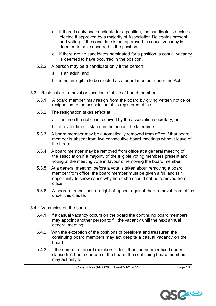- d. if there is only one candidate for a position, the candidate is declared elected if approved by a majority of Association Delegates present and voting. If the candidate is not approved, a casual vacancy is deemed to have occurred in the position;
- e. if there are no candidates nominated for a position, a casual vacancy is deemed to have occurred in the position.
- 5.2.2. A person may be a candidate only if the person:
	- a. is an adult; and
	- b. is not ineligible to be elected as a board member under the Act.
- 5.3. Resignation, removal or vacation of office of board members
	- 5.3.1. A board member may resign from the board by giving written notice of resignation to the association at its registered office.
	- 5.3.2. The resignation takes effect at:
		- a. the time the notice is received by the association secretary; or
		- b. if a later time is stated in the notice, the later time.
	- 5.3.3. A board member may be automatically removed from office if that board member is absent from two consecutive board meetings without leave of the board.
	- 5.3.4. A board member may be removed from office at a general meeting of the association if a majority of the eligible voting members present and voting at the meeting vote in favour of removing the board member.
	- 5.3.5. At a general meeting, before a vote is taken about removing a board member from office, the board member must be given a full and fair opportunity to show cause why he or she should not be removed from office.
	- 5.3.6. A board member has no right of appeal against their removal from office under this clause.
- 5.4. Vacancies on the board
	- 5.4.1. If a casual vacancy occurs on the board the continuing board members may appoint another person to fill the vacancy until the next annual general meeting.
	- 5.4.2. With the exception of the positions of president and treasurer, the continuing board members may act despite a casual vacancy on the board.
	- 5.4.3. If the number of board members is less than the number fixed under clause 5.7.1 as a quorum of the board, the continuing board members may act only to:

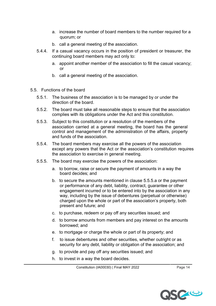- a. increase the number of board members to the number required for a quorum; or
- b. call a general meeting of the association.
- 5.4.4. If a casual vacancy occurs in the position of president or treasurer, the continuing board members may act only to:
	- a. appoint another member of the association to fill the casual vacancy; or
	- b. call a general meeting of the association.
- 5.5. Functions of the board
	- 5.5.1. The business of the association is to be managed by or under the direction of the board.
	- 5.5.2. The board must take all reasonable steps to ensure that the association complies with its obligations under the Act and this constitution.
	- 5.5.3. Subject to this constitution or a resolution of the members of the association carried at a general meeting, the board has the general control and management of the administration of the affairs, property and funds of the association.
	- 5.5.4. The board members may exercise all the powers of the association except any powers that the Act or the association's constitution requires the association to exercise in general meeting.
	- 5.5.5. The board may exercise the powers of the association:
		- a. to borrow, raise or secure the payment of amounts in a way the board decides; and
		- b. to secure the amounts mentioned in clause 5.5.5.a or the payment or performance of any debt, liability, contract, guarantee or other engagement incurred or to be entered into by the association in any way, including by the issue of debentures (perpetual or otherwise) charged upon the whole or part of the association's property, both present and future; and
		- c. to purchase, redeem or pay off any securities issued; and
		- d. to borrow amounts from members and pay interest on the amounts borrowed; and
		- e. to mortgage or charge the whole or part of its property; and
		- f. to issue debentures and other securities, whether outright or as security for any debt, liability or obligation of the association; and
		- g. to provide and pay off any securities issued; and
		- h. to invest in a way the board decides.

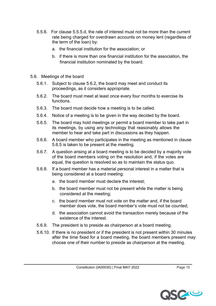- 5.5.6. For clause 5.5.5.d, the rate of interest must not be more than the current rate being charged for overdrawn accounts on money lent (regardless of the term of the loan) by:
	- a. the financial institution for the association; or
	- b. if there is more than one financial institution for the association, the financial institution nominated by the board.
- 5.6. Meetings of the board
	- 5.6.1. Subject to clause 5.6.2, the board may meet and conduct its proceedings, as it considers appropriate.
	- 5.6.2. The board must meet at least once every four months to exercise its functions.
	- 5.6.3. The board must decide how a meeting is to be called.
	- 5.6.4. Notice of a meeting is to be given in the way decided by the board.
	- 5.6.5. The board may hold meetings or permit a board member to take part in its meetings, by using any technology that reasonably allows the member to hear and take part in discussions as they happen.
	- 5.6.6. A board member who participates in the meeting as mentioned in clause 5.6.5 is taken to be present at the meeting.
	- 5.6.7. A question arising at a board meeting is to be decided by a majority vote of the board members voting on the resolution and, if the votes are equal, the question is resolved so as to maintain the status quo.
	- 5.6.8. If a board member has a material personal interest in a matter that is being considered at a board meeting:
		- a. the board member must declare the interest;
		- b. the board member must not be present while the matter is being considered at the meeting;
		- c. the board member must not vote on the matter and, if the board member does vote, the board member's vote must not be counted;
		- d. the association cannot avoid the transaction merely because of the existence of the interest.
	- 5.6.9. The president is to preside as chairperson at a board meeting.
	- 5.6.10. If there is no president or if the president is not present within 30 minutes after the time fixed for a board meeting, the board members present may choose one of their number to preside as chairperson at the meeting.

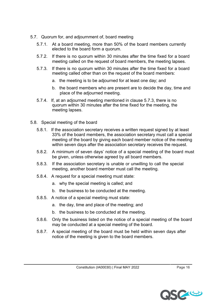- 5.7. Quorum for, and adjournment of, board meeting
	- 5.7.1. At a board meeting, more than 50% of the board members currently elected to the board form a quorum.
	- 5.7.2. If there is no quorum within 30 minutes after the time fixed for a board meeting called on the request of board members, the meeting lapses.
	- 5.7.3. If there is no quorum within 30 minutes after the time fixed for a board meeting called other than on the request of the board members:
		- a. the meeting is to be adjourned for at least one day; and
		- b. the board members who are present are to decide the day, time and place of the adjourned meeting.
	- 5.7.4. If, at an adjourned meeting mentioned in clause 5.7.3, there is no quorum within 30 minutes after the time fixed for the meeting, the meeting lapses.
- 5.8. Special meeting of the board
	- 5.8.1. If the association secretary receives a written request signed by at least 33% of the board members, the association secretary must call a special meeting of the board by giving each board member notice of the meeting within seven days after the association secretary receives the request.
	- 5.8.2. A minimum of seven days' notice of a special meeting of the board must be given, unless otherwise agreed by all board members.
	- 5.8.3. If the association secretary is unable or unwilling to call the special meeting, another board member must call the meeting.
	- 5.8.4. A request for a special meeting must state:
		- a. why the special meeting is called; and
		- b. the business to be conducted at the meeting.
	- 5.8.5. A notice of a special meeting must state:
		- a. the day, time and place of the meeting; and
		- b. the business to be conducted at the meeting.
	- 5.8.6. Only the business listed on the notice of a special meeting of the board may be conducted at a special meeting of the board.
	- 5.8.7. A special meeting of the board must be held within seven days after notice of the meeting is given to the board members.

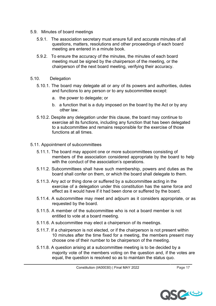- 5.9. Minutes of board meetings
	- 5.9.1. The association secretary must ensure full and accurate minutes of all questions, matters, resolutions and other proceedings of each board meeting are entered in a minute book.
	- 5.9.2. To ensure the accuracy of the minutes, the minutes of each board meeting must be signed by the chairperson of the meeting, or the chairperson of the next board meeting, verifying their accuracy.
- 5.10. Delegation
	- 5.10.1. The board may delegate all or any of its powers and authorities, duties and functions to any person or to any subcommittee except:
		- a. the power to delegate; or
		- b. a function that is a duty imposed on the board by the Act or by any other law.
	- 5.10.2. Despite any delegation under this clause, the board may continue to exercise all its functions, including any function that has been delegated to a subcommittee and remains responsible for the exercise of those functions at all times.
- 5.11. Appointment of subcommittees
	- 5.11.1. The board may appoint one or more subcommittees consisting of members of the association considered appropriate by the board to help with the conduct of the association's operations.
	- 5.11.2. Subcommittees shall have such membership, powers and duties as the board shall confer on them, or which the board shall delegate to them.
	- 5.11.3. Any act or thing done or suffered by a subcommittee acting in the exercise of a delegation under this constitution has the same force and effect as it would have if it had been done or suffered by the board.
	- 5.11.4. A subcommittee may meet and adjourn as it considers appropriate, or as requested by the board.
	- 5.11.5. A member of the subcommittee who is not a board member is not entitled to vote at a board meeting.
	- 5.11.6. A subcommittee may elect a chairperson of its meetings.
	- 5.11.7. If a chairperson is not elected, or if the chairperson is not present within 10 minutes after the time fixed for a meeting, the members present may choose one of their number to be chairperson of the meeting.
	- 5.11.8. A question arising at a subcommittee meeting is to be decided by a majority vote of the members voting on the question and, if the votes are equal, the question is resolved so as to maintain the status quo.

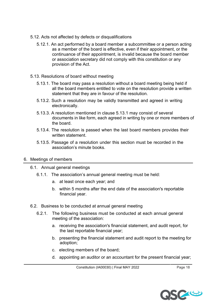- 5.12. Acts not affected by defects or disqualifications
	- 5.12.1. An act performed by a board member a subcommittee or a person acting as a member of the board is effective, even if their appointment, or the continuance of their appointment, is invalid because the board member or association secretary did not comply with this constitution or any provision of the Act.
- 5.13. Resolutions of board without meeting
	- 5.13.1. The board may pass a resolution without a board meeting being held if all the board members entitled to vote on the resolution provide a written statement that they are in favour of the resolution.
	- 5.13.2. Such a resolution may be validly transmitted and agreed in writing electronically.
	- 5.13.3. A resolution mentioned in clause 5.13.1 may consist of several documents in like form, each agreed in writing by one or more members of the board.
	- 5.13.4. The resolution is passed when the last board members provides their written statement.
	- 5.13.5. Passage of a resolution under this section must be recorded in the association's minute books.

## 6. Meetings of members

- 6.1. Annual general meetings
	- 6.1.1. The association's annual general meeting must be held:
		- a. at least once each year; and
		- b. within 5 months after the end date of the association's reportable financial year.
- 6.2. Business to be conducted at annual general meeting
	- 6.2.1. The following business must be conducted at each annual general meeting of the association:
		- a. receiving the association's financial statement, and audit report, for the last reportable financial year;
		- b. presenting the financial statement and audit report to the meeting for adoption;
		- c. electing members of the board;
		- d. appointing an auditor or an accountant for the present financial year;

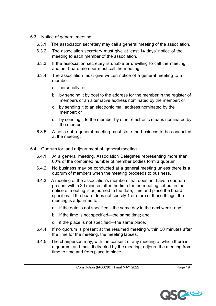- 6.3. Notice of general meeting
	- 6.3.1. The association secretary may call a general meeting of the association.
	- 6.3.2. The association secretary must give at least 14 days' notice of the meeting to each member of the association.
	- 6.3.3. If the association secretary is unable or unwilling to call the meeting, another board member must call the meeting.
	- 6.3.4. The association must give written notice of a general meeting to a member:
		- a. personally; or
		- b. by sending it by post to the address for the member in the register of members or an alternative address nominated by the member; or
		- c. by sending it to an electronic mail address nominated by the member; or
		- d. by sending it to the member by other electronic means nominated by the member.
	- 6.3.5. A notice of a general meeting must state the business to be conducted at the meeting.
- 6.4. Quorum for, and adjournment of, general meeting
	- 6.4.1. At a general meeting, Association Delegates representing more than 60% of the combined number of member bodies form a quorum.
	- 6.4.2. No business may be conducted at a general meeting unless there is a quorum of members when the meeting proceeds to business.
	- 6.4.3. A meeting of the association's members that does not have a quorum present within 30 minutes after the time for the meeting set out in the notice of meeting is adjourned to the date, time and place the board specifies. If the board does not specify 1 or more of those things, the meeting is adjourned to:
		- a. if the date is not specified—the same day in the next week; and
		- b. if the time is not specified—the same time; and
		- c. if the place is not specified—the same place.
	- 6.4.4. If no quorum is present at the resumed meeting within 30 minutes after the time for the meeting, the meeting lapses.
	- 6.4.5. The chairperson may, with the consent of any meeting at which there is a quorum, and must if directed by the meeting, adjourn the meeting from time to time and from place to place.

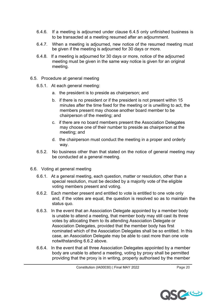- 6.4.6. If a meeting is adjourned under clause 6.4.5 only unfinished business is to be transacted at a meeting resumed after an adjournment.
- 6.4.7. When a meeting is adjourned, new notice of the resumed meeting must be given if the meeting is adjourned for 30 days or more.
- 6.4.8. If a meeting is adjourned for 30 days or more, notice of the adjourned meeting must be given in the same way notice is given for an original meeting.
- 6.5. Procedure at general meeting
	- 6.5.1. At each general meeting:
		- a. the president is to preside as chairperson; and
		- b. if there is no president or if the president is not present within 15 minutes after the time fixed for the meeting or is unwilling to act, the members present may choose another board member to be chairperson of the meeting; and
		- c. if there are no board members present the Association Delegates may choose one of their number to preside as chairperson at the meeting; and
		- d. the chairperson must conduct the meeting in a proper and orderly way.
	- 6.5.2. No business other than that stated on the notice of general meeting may be conducted at a general meeting.
- 6.6. Voting at general meeting
	- 6.6.1. At a general meeting, each question, matter or resolution, other than a special resolution, must be decided by a majority vote of the eligible voting members present and voting.
	- 6.6.2. Each member present and entitled to vote is entitled to one vote only and, if the votes are equal, the question is resolved so as to maintain the status quo.
	- 6.6.3. In the event that an Association Delegate appointed by a member body is unable to attend a meeting, that member body may still cast its three votes by allocating them to its attending Association Delegate or Association Delegates, provided that the member body has first nominated which of the Association Delegates shall be so entitled. In this case, an Association Delegate may be able to cast more than one vote notwithstanding 6.6.2 above.
	- 6.6.4. In the event that all three Association Delegates appointed by a member body are unable to attend a meeting, voting by proxy shall be permitted providing that the proxy is in writing, properly authorised by the member

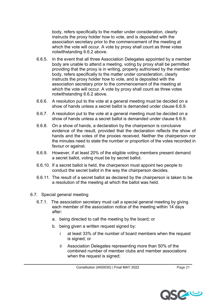body, refers specifically to the matter under consideration, clearly instructs the proxy holder how to vote, and is deposited with the association secretary prior to the commencement of the meeting at which the vote will occur. A vote by proxy shall count as three votes notwithstanding 6.6.2 above.

- 6.6.5. In the event that all three Association Delegates appointed by a member body are unable to attend a meeting, voting by proxy shall be permitted providing that the proxy is in writing, properly authorised by the member body, refers specifically to the matter under consideration, clearly instructs the proxy holder how to vote, and is deposited with the association secretary prior to the commencement of the meeting at which the vote will occur. A vote by proxy shall count as three votes notwithstanding 6.6.2 above.
- 6.6.6. A resolution put to the vote at a general meeting must be decided on a show of hands unless a secret ballot is demanded under clause 6.6.9.
- 6.6.7. A resolution put to the vote at a general meeting must be decided on a show of hands unless a secret ballot is demanded under clause 6.6.9.
- 6.6.8. On a show of hands, a declaration by the chairperson is conclusive evidence of the result, provided that the declaration reflects the show of hands and the votes of the proxies received. Neither the chairperson nor the minutes need to state the number or proportion of the votes recorded in favour or against.
- 6.6.9. However, if at least 20% of the eligible voting members present demand a secret ballot, voting must be by secret ballot.
- 6.6.10. If a secret ballot is held, the chairperson must appoint two people to conduct the secret ballot in the way the chairperson decides.
- 6.6.11. The result of a secret ballot as declared by the chairperson is taken to be a resolution of the meeting at which the ballot was held.
- 6.7. Special general meeting
	- 6.7.1. The association secretary must call a special general meeting by giving each member of the association notice of the meeting within 14 days after:
		- a. being directed to call the meeting by the board; or
		- b. being given a written request signed by:
			- i at least 33% of the number of board members when the request is signed; or
			- ii Association Delegates representing more than 50% of the combined number of member clubs and member associations when the request is signed;

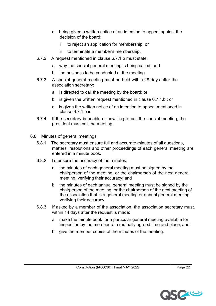- c. being given a written notice of an intention to appeal against the decision of the board:
	- i to reject an application for membership; or
	- ii to terminate a member's membership.
- 6.7.2. A request mentioned in clause 6.7.1.b must state:
	- a. why the special general meeting is being called; and
	- b. the business to be conducted at the meeting.
- 6.7.3. A special general meeting must be held within 28 days after the association secretary:
	- a. is directed to call the meeting by the board; or
	- b. is given the written request mentioned in clause 6.7.1.b ; or
	- c. is given the written notice of an intention to appeal mentioned in clause 6.7.1.b.ii.
- 6.7.4. If the secretary is unable or unwilling to call the special meeting, the president must call the meeting.
- 6.8. Minutes of general meetings
	- 6.8.1. The secretary must ensure full and accurate minutes of all questions, matters, resolutions and other proceedings of each general meeting are entered in a minute book.
	- 6.8.2. To ensure the accuracy of the minutes:
		- a. the minutes of each general meeting must be signed by the chairperson of the meeting, or the chairperson of the next general meeting, verifying their accuracy; and
		- b. the minutes of each annual general meeting must be signed by the chairperson of the meeting, or the chairperson of the next meeting of the association that is a general meeting or annual general meeting, verifying their accuracy.
	- 6.8.3. If asked by a member of the association, the association secretary must, within 14 days after the request is made:
		- a. make the minute book for a particular general meeting available for inspection by the member at a mutually agreed time and place; and
		- b. give the member copies of the minutes of the meeting.

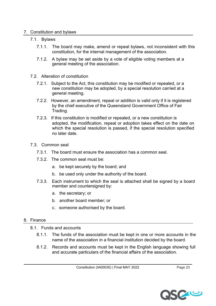#### 7. Constitution and bylaws

#### 7.1. Bylaws

- 7.1.1. The board may make, amend or repeal bylaws, not inconsistent with this constitution, for the internal management of the association.
- 7.1.2. A bylaw may be set aside by a vote of eligible voting members at a general meeting of the association.
- 7.2. Alteration of constitution
	- 7.2.1. Subject to the Act, this constitution may be modified or repealed, or a new constitution may be adopted, by a special resolution carried at a general meeting.
	- 7.2.2. However, an amendment, repeal or addition is valid only if it is registered by the chief executive of the Queensland Government Office of Fair Trading.
	- 7.2.3. If this constitution is modified or repealed, or a new constitution is adopted, the modification, repeal or adoption takes effect on the date on which the special resolution is passed, if the special resolution specified no later date.
- 7.3. Common seal
	- 7.3.1. The board must ensure the association has a common seal.
	- 7.3.2. The common seal must be:
		- a. be kept securely by the board; and
		- b. be used only under the authority of the board.
	- 7.3.3. Each instrument to which the seal is attached shall be signed by a board member and countersigned by:
		- a. the secretary; or
		- b. another board member; or
		- c. someone authorised by the board.

#### 8. Finance

- 8.1. Funds and accounts
	- 8.1.1. The funds of the association must be kept in one or more accounts in the name of the association in a financial institution decided by the board.
	- 8.1.2. Records and accounts must be kept in the English language showing full and accurate particulars of the financial affairs of the association.

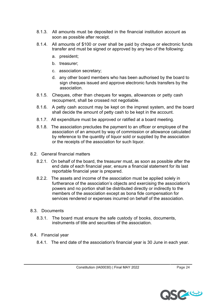- 8.1.3. All amounts must be deposited in the financial institution account as soon as possible after receipt.
- 8.1.4. All amounts of \$100 or over shall be paid by cheque or electronic funds transfer and must be signed or approved by any two of the following:
	- a. president;
	- b. treasurer;
	- c. association secretary;
	- d. any other board members who has been authorised by the board to sign cheques issued and approve electronic funds transfers by the association.
- 8.1.5. Cheques, other than cheques for wages, allowances or petty cash recoupment, shall be crossed not negotiable.
- 8.1.6. A petty cash account may be kept on the imprest system, and the board shall decide the amount of petty cash to be kept in the account.
- 8.1.7. All expenditure must be approved or ratified at a board meeting.
- 8.1.8. The association precludes the payment to an officer or employee of the association of an amount by way of commission or allowance calculated by reference to the quantity of liquor sold or supplied by the association or the receipts of the association for such liquor.
- 8.2. General financial matters
	- 8.2.1. On behalf of the board, the treasurer must, as soon as possible after the end date of each financial year, ensure a financial statement for its last reportable financial year is prepared.
	- 8.2.2. The assets and income of the association must be applied solely in furtherance of the association's objects and exercising the association's powers and no portion shall be distributed directly or indirectly to the members of the association except as bona fide compensation for services rendered or expenses incurred on behalf of the association.
- 8.3. Documents
	- 8.3.1. The board must ensure the safe custody of books, documents, instruments of title and securities of the association.
- 8.4. Financial year
	- 8.4.1. The end date of the association's financial year is 30 June in each year.